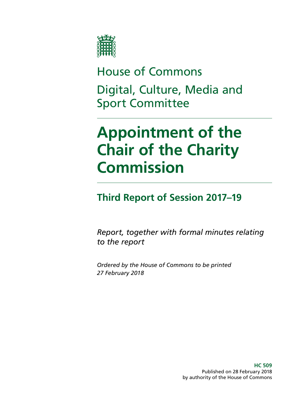

House of Commons Digital, Culture, Media and Sport Committee

# **Appointment of the Chair of the Charity Commission**

## **Third Report of Session 2017–19**

*Report, together with formal minutes relating to the report*

*Ordered by the House of Commons to be printed 27 February 2018*

> **HC 509** Published on 28 February 2018 by authority of the House of Commons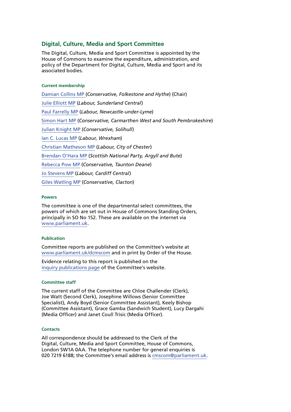### **Digital, Culture, Media and Sport Committee**

The Digital, Culture, Media and Sport Committee is appointed by the House of Commons to examine the expenditure, administration, and policy of the Department for Digital, Culture, Media and Sport and its associated bodies.

#### **Current membership**

[Damian Collins MP](http://www.parliament.uk/biographies/commons/damian-collins/3986) (*Conservative, Folkestone and Hythe*) (Chair) [Julie Elliott MP](http://www.parliament.uk/biographies/commons/julie-elliott/4127) (*Labour, Sunderland Central*) [Paul Farrelly MP](http://www.parliament.uk/biographies/commons/paul-farrelly/1436) (*Labour, Newcastle-under-Lyme*) [Simon Hart MP](http://www.parliament.uk/biographies/commons/simon-hart/3944) (*Conservative, Carmarthen West and South Pembrokeshire*) [Julian Knight MP](http://www.parliament.uk/biographies/commons/julian-knight/4410) (*Conservative, Solihull*) [Ian C. Lucas MP](http://www.parliament.uk/biographies/commons/ian-c.-lucas/1470) (*Labour, Wrexham*) [Christian Matheson MP](http://www.parliament.uk/biographies/commons/christian-matheson/4408) (*Labour, City of Chester*) [Brendan O'Hara MP](http://www.parliament.uk/biographies/commons/brendan-o) (*Scottish National Party, Argyll and Bute*) [Rebecca Pow MP](http://www.parliament.uk/biographies/commons/rebecca-pow/4522) (*Conservative, Taunton Deane*) [Jo Stevens MP](http://www.parliament.uk/biographies/commons/jo-stevens/4425) (*Labour, Cardiff Central*) [Giles Watling MP](http://www.parliament.uk/biographies/commons/giles-watling/4677) (*Conservative, Clacton*)

#### **Powers**

The committee is one of the departmental select committees, the powers of which are set out in House of Commons Standing Orders, principally in SO No 152. These are available on the internet via [www.parliament.uk](http://www.parliament.uk/).

#### **Publication**

Committee reports are published on the Committee's website at [www.parliament.uk/dcmscom](http://www.parliament.uk/dcmscom) and in print by Order of the House.

Evidence relating to this report is published on the [inquiry publications page](https://www.parliament.uk/business/committees/committees-a-z/commons-select/digital-culture-media-and-sport-committee/inquiries/parliament-2017/inquiry1/publications/) of the Committee's website.

#### **Committee staff**

The current staff of the Committee are Chloe Challender (Clerk), Joe Watt (Second Clerk), Josephine Willows (Senior Committee Specialist), Andy Boyd (Senior Committee Assistant), Keely Bishop (Committee Assistant), Grace Gamba (Sandwich Student), Lucy Dargahi (Media Officer) and Janet Coull Trisic (Media Officer).

#### **Contacts**

All correspondence should be addressed to the Clerk of the Digital, Culture, Media and Sport Committee, House of Commons, London SW1A 0AA. The telephone number for general enquiries is 020 7219 6188; the Committee's email address is [cmscom@parliament.uk](mailto:cmscom@parliament.uk).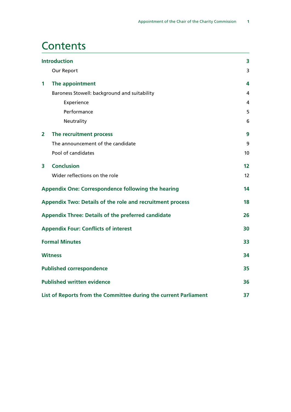## **Contents**

| <b>Introduction</b> |                                                                  | 3  |
|---------------------|------------------------------------------------------------------|----|
|                     | Our Report                                                       | 3  |
| 1                   | The appointment                                                  | 4  |
|                     | Baroness Stowell: background and suitability                     | 4  |
|                     | Experience                                                       | 4  |
|                     | Performance                                                      | 5  |
|                     | Neutrality                                                       | 6  |
| $\overline{2}$      | The recruitment process                                          | 9  |
|                     | The announcement of the candidate                                | 9  |
|                     | Pool of candidates                                               | 10 |
| 3                   | <b>Conclusion</b>                                                | 12 |
|                     | Wider reflections on the role                                    | 12 |
|                     | Appendix One: Correspondence following the hearing               | 14 |
|                     | Appendix Two: Details of the role and recruitment process        | 18 |
|                     | <b>Appendix Three: Details of the preferred candidate</b>        | 26 |
|                     | <b>Appendix Four: Conflicts of interest</b>                      | 30 |
|                     | <b>Formal Minutes</b>                                            | 33 |
|                     | <b>Witness</b>                                                   | 34 |
|                     | <b>Published correspondence</b>                                  | 35 |
|                     | <b>Published written evidence</b>                                | 36 |
|                     | List of Reports from the Committee during the current Parliament | 37 |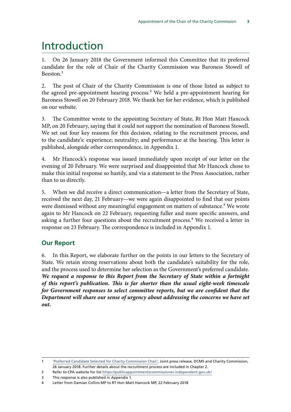## <span id="page-4-0"></span>Introduction

1. On 26 January 2018 the Government informed this Committee that its preferred candidate for the role of Chair of the Charity Commission was Baroness Stowell of Beeston<sup>1</sup>

2. The post of Chair of the Charity Commission is one of those listed as subject to the agreed pre-appointment hearing process.<sup>2</sup> We held a pre-appointment hearing for Baroness Stowell on 20 February 2018. We thank her for her evidence, which is published on our website.

3. The Committee wrote to the appointing Secretary of State, Rt Hon Matt Hancock MP, on 20 February, saying that it could not support the nomination of Baroness Stowell. We set out four key reasons for this decision, relating to the recruitment process, and to the candidate's: experience; neutrality; and performance at the hearing. This letter is published, alongside other correspondence, in Appendix 1.

4. Mr Hancock's response was issued immediately upon receipt of our letter on the evening of 20 February. We were surprised and disappointed that Mr Hancock chose to make this initial response so hastily, and via a statement to the Press Association, rather than to us directly.

5. When we did receive a direct communication—a letter from the Secretary of State, received the next day, 21 February—we were again disappointed to find that our points were dismissed without any meaningful engagement on matters of substance.<sup>3</sup> We wrote again to Mr Hancock on 22 February, requesting fuller and more specific answers, and asking a further four questions about the recruitment process.<sup>4</sup> We received a letter in response on 23 February. The correspondence is included in Appendix 1.

## **Our Report**

6. In this Report, we elaborate further on the points in our letters to the Secretary of State. We retain strong reservations about both the candidate's suitability for the role, and the process used to determine her selection as the Government's preferred candidate. *We request a response to this Report from the Secretary of State within a fortnight of this report's publication. This is far shorter than the usual eight-week timescale for Government responses to select committee reports, but we are confident that the Department will share our sense of urgency about addressing the concerns we have set out.*

<sup>1</sup> ['Preferred Candidate Selected for Charity Commission Chair'](https://www.gov.uk/government/news/preferred-candidate-selected-for-charity-commission-chair), Joint press release, DCMS and Charity Commission, 26 January 2018. Further details about the recruitment process are included in Chapter 2.

<sup>2</sup> Refer to CPA website for list <https://publicappointmentscommissioner.independent.gov.uk/>

<sup>3</sup> This response is also published in Appendix 1.

<sup>4</sup> Letter from Damian Collins MP to RT Hon Matt Hancock MP, 22 February 2018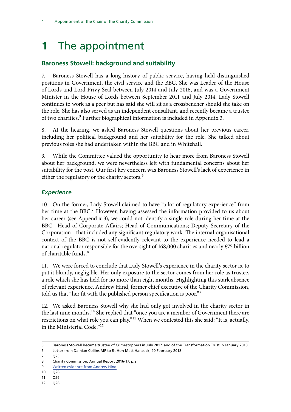## <span id="page-5-0"></span>**1** The appointment

## **Baroness Stowell: background and suitability**

7. Baroness Stowell has a long history of public service, having held distinguished positions in Government, the civil service and the BBC. She was Leader of the House of Lords and Lord Privy Seal between July 2014 and July 2016, and was a Government Minister in the House of Lords between September 2011 and July 2014. Lady Stowell continues to work as a peer but has said she will sit as a crossbencher should she take on the role. She has also served as an independent consultant, and recently became a trustee of two charities.<sup>5</sup> Further biographical information is included in Appendix 3.

8. At the hearing, we asked Baroness Stowell questions about her previous career, including her political background and her suitability for the role. She talked about previous roles she had undertaken within the BBC and in Whitehall.

9. While the Committee valued the opportunity to hear more from Baroness Stowell about her background, we were nevertheless left with fundamental concerns about her suitability for the post. Our first key concern was Baroness Stowell's lack of experience in either the regulatory or the charity sectors.<sup>6</sup>

### *Experience*

10. On the former, Lady Stowell claimed to have "a lot of regulatory experience" from her time at the BBC.<sup>7</sup> However, having assessed the information provided to us about her career (see Appendix 3), we could not identify a single role during her time at the BBC—Head of Corporate Affairs; Head of Communications; Deputy Secretary of the Corporation—that included any significant regulatory work. The internal organisational context of the BBC is not self-evidently relevant to the experience needed to lead a national regulator responsible for the oversight of 168,000 charities and nearly £75 billion of charitable funds.<sup>8</sup>

11. We were forced to conclude that Lady Stowell's experience in the charity sector is, to put it bluntly, negligible. Her only exposure to the sector comes from her role as trustee, a role which she has held for no more than eight months. Highlighting this stark absence of relevant experience, Andrew Hind, former chief executive of the Charity Commission, told us that "her fit with the published person specification is poor."9

12. We asked Baroness Stowell why she had only got involved in the charity sector in the last nine months.<sup>10</sup> She replied that "once you are a member of Government there are restrictions on what role you can play."<sup>11</sup> When we contested this she said: "It is, actually, in the Ministerial Code."12

- 11 Q26
- 12 Q26

<sup>5</sup> Baroness Stowell became trustee of Crimestoppers in July 2017, and of the Transformation Trust in January 2018.

<sup>6</sup> Letter from Damian Collins MP to Rt Hon Matt Hancock, 20 February 2018

<sup>7</sup> Q23

<sup>8</sup> Charity Commission, Annual Report 2016-17, p.2

<sup>9</sup> [Written evidence from Andrew Hind](http://data.parliament.uk/writtenevidence/committeeevidence.svc/evidencedocument/digital-culture-media-and-sport-committee/preappointment-hearing-for-chair-of-charity-commission-for-england-and-wales/written/78504.html)

 $10 \ 026$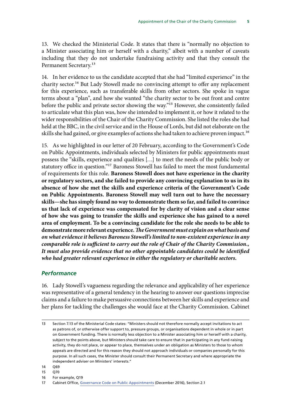<span id="page-6-0"></span>13. We checked the Ministerial Code. It states that there is "normally no objection to a Minister associating him or herself with a charity," albeit with a number of caveats including that they do not undertake fundraising activity and that they consult the Permanent Secretary.<sup>13</sup>

14. In her evidence to us the candidate accepted that she had "limited experience" in the charity sector.<sup>14</sup> But Lady Stowell made no convincing attempt to offer any replacement for this experience, such as transferable skills from other sectors. She spoke in vague terms about a "plan", and how she wanted "the charity sector to be out front and centre before the public and private sector showing the way."15 However, she consistently failed to articulate what this plan was, how she intended to implement it, or how it related to the wider responsibilities of the Chair of the Charity Commission. She listed the roles she had held at the BBC, in the civil service and in the House of Lords, but did not elaborate on the skills she had gained, or give examples of actions she had taken to achieve proven impact.<sup>16</sup>

15. As we highlighted in our letter of 20 February, according to the Government's Code on Public Appointments, individuals selected by Ministers for public appointments must possess the "skills, experience and qualities […] to meet the needs of the public body or statutory office in question."17 Baroness Stowell has failed to meet the most fundamental of requirements for this role. **Baroness Stowell does not have experience in the charity or regulatory sectors, and she failed to provide any convincing explanation to us in its absence of how she met the skills and experience criteria of the Government's Code on Public Appointments. Baroness Stowell may well turn out to have the necessary skills—she has simply found no way to demonstrate them so far, and failed to convince us that lack of experience was compensated for by clarity of vision and a clear sense of how she was going to transfer the skills and experience she has gained to a novel area of employment. To be a convincing candidate for the role she needs to be able to demonstrate more relevant experience.** *The Government must explain on what basis and on what evidence it believes Baroness Stowell's limited to non-existent experience in any comparable role is sufficient to carry out the role of Chair of the Charity Commission., It must also provide evidence that no other appointable candidates could be identified who had greater relevant experience in either the regulatory or charitable sectors.*

#### *Performance*

16. Lady Stowell's vagueness regarding the relevance and applicability of her experience was representative of a general tendency in the hearing to answer our questions imprecise claims and a failure to make persuasive connections between her skills and experience and her plans for tackling the challenges she would face at the Charity Commission. Cabinet

- 14 Q69
- 15 Q70
- 16 For example, Q19

<sup>13</sup> Section 7.13 of the Ministerial Code states: "Ministers should not therefore normally accept invitations to act as patrons of, or otherwise offer support to, pressure groups, or organisations dependent in whole or in part on Government funding. There is normally less objection to a Minister associating him or herself with a charity, subject to the points above, but Ministers should take care to ensure that in participating in any fund-raising activity, they do not place, or appear to place, themselves under an obligation as Ministers to those to whom appeals are directed and for this reason they should not approach individuals or companies personally for this purpose. In all such cases, the Minister should consult their Permanent Secretary and where appropriate the independent adviser on Ministers' interests."

<sup>17</sup> Cabinet Office, [Governance Code on Public Appointments](https://www.gov.uk/government/uploads/system/uploads/attachment_data/file/578498/governance_code_on_public_appointments_16_12_2016.pdf) (December 2016), Section 2.1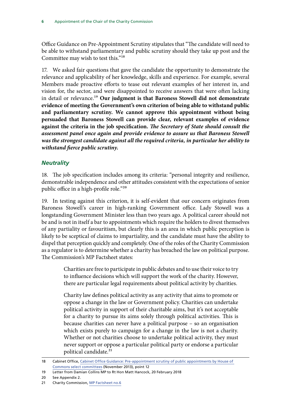<span id="page-7-0"></span>Office Guidance on Pre-Appointment Scrutiny stipulates that "The candidate will need to be able to withstand parliamentary and public scrutiny should they take up post and the Committee may wish to test this."18

17. We asked fair questions that gave the candidate the opportunity to demonstrate the relevance and applicability of her knowledge, skills and experience. For example, several Members made proactive efforts to tease out relevant examples of her interest in, and vision for, the sector, and were disappointed to receive answers that were often lacking in detail or relevance.19 **Our judgment is that Baroness Stowell did not demonstrate evidence of meeting the Government's own criterion of being able to withstand public and parliamentary scrutiny. We cannot approve this appointment without being persuaded that Baroness Stowell can provide clear, relevant examples of evidence against the criteria in the job specification.** *The Secretary of State should consult the assessment panel once again and provide evidence to assure us that Baroness Stowell was the strongest candidate against all the required criteria, in particular her ability to withstand fierce public scrutiny.*

### *Neutrality*

18. The job specification includes among its criteria: "personal integrity and resilience, demonstrable independence and other attitudes consistent with the expectations of senior public office in a high-profile role."<sup>20</sup>

19. In testing against this criterion, it is self-evident that our concern originates from Baroness Stowell's career in high-ranking Government office. Lady Stowell was a longstanding Government Minister less than two years ago. A political career should not be and is not in itself a bar to appointments which require the holders to divest themselves of any partiality or favouritism, but clearly this is an area in which public perception is likely to be sceptical of claims to impartiality, and the candidate must have the ability to dispel that perception quickly and completely. One of the roles of the Charity Commission as a regulator is to determine whether a charity has breached the law on political purpose. The Commission's MP Factsheet states:

> Charities are free to participate in public debates and to use their voice to try to influence decisions which will support the work of the charity. However, there are particular legal requirements about political activity by charities.

> Charity law defines political activity as any activity that aims to promote or oppose a change in the law or Government policy. Charities can undertake political activity in support of their charitable aims, but it's not acceptable for a charity to pursue its aims solely through political activities. This is because charities can never have a political purpose – so an organisation which exists purely to campaign for a change in the law is not a charity. Whether or not charities choose to undertake political activity, they must never support or oppose a particular political party or endorse a particular political candidate.<sup>21</sup>

<sup>18</sup> Cabinet Office, [Cabinet Office Guidance: Pre-appointment scrutiny of public appointments by House of](https://www.gov.uk/government/uploads/system/uploads/attachment_data/file/259686/Guidance_publication.pdf)  [Commons select committees](https://www.gov.uk/government/uploads/system/uploads/attachment_data/file/259686/Guidance_publication.pdf) (November 2013), point 12

<sup>19</sup> Letter from Damian Collins MP to Rt Hon Matt Hancock, 20 February 2018

<sup>20</sup> See Appendix 2.

<sup>21</sup> Charity Commission, [MP Factsheet no.6](https://www.gov.uk/government/uploads/system/uploads/attachment_data/file/354727/Charities_politics_and_campaigning_MP_factsheet_6.pdf)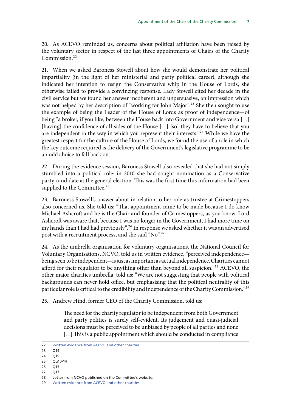20. As ACEVO reminded us, concerns about political affiliation have been raised by the voluntary sector in respect of the last three appointments of Chairs of the Charity Commission<sup>22</sup>

21. When we asked Baroness Stowell about how she would demonstrate her political impartiality (in the light of her ministerial and party political career), although she indicated her intention to resign the Conservative whip in the House of Lords, she otherwise failed to provide a convincing response. Lady Stowell cited her decade in the civil service but we found her answer incoherent and unpersuasive, an impression which was not helped by her description of "working for John Major".<sup>23</sup> She then sought to use the example of being the Leader of the House of Lords as proof of independence—of being "a broker, if you like, between the House back into Government and vice versa […] [having] the confidence of all sides of the House [...] [so] they have to believe that you are independent in the way in which you represent their interests."24 While we have the greatest respect for the culture of the House of Lords, we found the use of a role in which the key outcome required is the delivery of the Government's legislative programme to be an odd choice to fall back on.

22. During the evidence session, Baroness Stowell also revealed that she had not simply stumbled into a political role: in 2010 she had sought nomination as a Conservative party candidate at the general election. This was the first time this information had been supplied to the Committee.<sup>25</sup>

23. Baroness Stowell's answer about in relation to her role as trustee at Crimestoppers also concerned us. She told us: "That appointment came to be made because I do know Michael Ashcroft and he is the Chair and founder of Crimestoppers, as you know. Lord Ashcroft was aware that, because I was no longer in the Government, I had more time on my hands than I had had previously".26 In response we asked whether it was an advertised post with a recruitment process, and she said "No".27

24. As the umbrella organisation for voluntary organisations, the National Council for Voluntary Organisations, NCVO, told us in written evidence, "perceived independence being seen to be independent—is just as important as actual independence. Charities cannot afford for their regulator to be anything other than beyond all suspicion."<sup>28</sup> ACEVO, the other major charities umbrella, told us: "We are not suggesting that people with political backgrounds can never hold office, but emphasising that the political neutrality of this particular role is critical to the credibility and independence of the Charity Commission."29

25. Andrew Hind, former CEO of the Charity Commission, told us:

The need for the charity regulator to be independent from both Government and party politics is surely self-evident. Its judgement and quasi-judicial decisions must be perceived to be unbiased by people of all parties and none [...] This is a public appointment which should be conducted in compliance

26 Q15

<sup>22</sup> [Written evidence from ACEVO and other charities](http://data.parliament.uk/writtenevidence/committeeevidence.svc/evidencedocument/digital-culture-media-and-sport-committee/preappointment-hearing-for-chair-of-charity-commission-for-england-and-wales/written/78505.html)

 $23 \overline{019}$ 

<sup>24</sup> Q19

<sup>25</sup> Qq10-14

<sup>27</sup> Q17

<sup>28</sup> Letter from NCVO published on the Committee's website.

<sup>29</sup> [Written evidence from ACEVO and other charities](http://data.parliament.uk/writtenevidence/committeeevidence.svc/evidencedocument/digital-culture-media-and-sport-committee/preappointment-hearing-for-chair-of-charity-commission-for-england-and-wales/written/78505.html)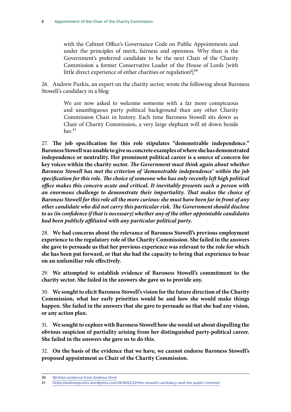with the Cabinet Office's Governance Code on Public Appointments and under the principles of merit, fairness and openness. Why then is the Government's preferred candidate to be the next Chair of the Charity Commission a former Conservative Leader of the House of Lords [with little direct experience of either charities or regulation?]<sup>30</sup>

26. Andrew Purkis, an expert on the charity sector, wrote the following about Baroness Stowell's candidacy in a blog:

> We are now asked to welcome someone with a far more conspicuous and unambiguous party political background than any other Charity Commission Chair in history. Each time Baroness Stowell sits down as Chair of Charity Commission, a very large elephant will sit down beside  $her.<sup>31</sup>$

27. **The job specification for this role stipulates "demonstrable independence." Baroness Stowell was unable to give us concrete examples of where she has demonstrated independence or neutrality. Her prominent political career is a source of concern for key voices within the charity sector.** *The Government must think again about whether Baroness Stowell has met the criterion of 'demonstrable independence' within the job specification for this role. The choice of someone who has only recently left high political office makes this concern acute and critical. It inevitably presents such a person with an enormous challenge to demonstrate their impartiality. That makes the choice of Baroness Stowell for this role all the more curious: she must have been far in front of any other candidate who did not carry this particular risk. The Government should disclose to us (in confidence if that is necessary) whether any of the other appointable candidates had been publicly affiliated with any particular political party.*

28. **We had concerns about the relevance of Baroness Stowell's previous employment experience to the regulatory role of the Charity Commission. She failed in the answers she gave to persuade us that her previous experience was relevant to the role for which she has been put forward, or that she had the capacity to bring that experience to bear on an unfamiliar role effectively.**

29. **We attempted to establish evidence of Baroness Stowell's commitment to the charity sector. She failed in the answers she gave us to provide any.**

30. **We sought to elicit Baroness Stowell's vision for the future direction of the Charity Commission, what her early priorities would be and how she would make things happen. She failed in the answers that she gave to persuade us that she had any vision, or any action plan.**

31. **We sought to explore with Baroness Stowell how she would set about dispelling the obvious suspicion of partiality arising from her distinguished party-political career. She failed in the answers she gave us to do this.**

32. **On the basis of the evidence that we have, we cannot endorse Baroness Stowell's proposed appointment as Chair of the Charity Commission.**

<sup>30</sup> [Written evidence from Andrew Hind](http://data.parliament.uk/writtenevidence/committeeevidence.svc/evidencedocument/digital-culture-media-and-sport-committee/preappointment-hearing-for-chair-of-charity-commission-for-england-and-wales/written/78504.html)

<sup>31</sup> <https://andrewpurkis.wordpress.com/2018/02/22/the-stowell-candidacy-and-the-public-interest/>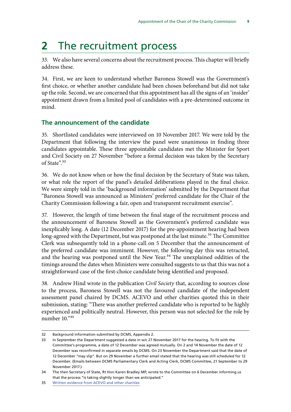## <span id="page-10-0"></span>**2** The recruitment process

33. We also have several concerns about the recruitment process. This chapter will briefly address these.

34. First, we are keen to understand whether Baroness Stowell was the Government's first choice, or whether another candidate had been chosen beforehand but did not take up the role. Second, we are concerned that this appointment has all the signs of an 'insider' appointment drawn from a limited pool of candidates with a pre-determined outcome in mind.

#### **The announcement of the candidate**

35. Shortlisted candidates were interviewed on 10 November 2017. We were told by the Department that following the interview the panel were unanimous in finding three candidates appointable. These three appointable candidates met the Minister for Sport and Civil Society on 27 November "before a formal decision was taken by the Secretary of State".32

36. We do not know when or how the final decision by the Secretary of State was taken, or what role the report of the panel's detailed deliberations played in the final choice. We were simply told in the 'background information' submitted by the Department that "Baroness Stowell was announced as Ministers' preferred candidate for the Chair of the Charity Commission following a fair, open and transparent recruitment exercise".

37. However, the length of time between the final stage of the recruitment process and the announcement of Baroness Stowell as the Government's preferred candidate was inexplicably long. A date (12 December 2017) for the pre-appointment hearing had been long-agreed with the Department, but was postponed at the last minute.<sup>33</sup> The Committee Clerk was subsequently told in a phone-call on 5 December that the announcement of the preferred candidate was imminent. However, the following day this was retracted, and the hearing was postponed until the New Year.<sup>34</sup> The unexplained oddities of the timings around the dates when Ministers were consulted suggests to us that this was not a straightforward case of the first-choice candidate being identified and proposed.

38. Andrew Hind wrote in the publication *Civil Society* that, according to sources close to the process, Baroness Stowell was not the favoured candidate of the independent assessment panel chaired by DCMS. ACEVO and other charities quoted this in their submission, stating: "There was another preferred candidate who is reported to be highly experienced and politically neutral. However, this person was not selected for the role by number 10."35

<sup>32</sup> Background information submitted by DCMS, Appendix 2.

<sup>33</sup> In September the Department suggested a date in w/c 27 November 2017 for the hearing. To fit with the Committee's programme, a date of 12 December was agreed mutually. On 2 and 14 November the date of 12 December was reconfirmed in separate emails by DCMS. On 23 November the Department said that the date of 12 December "may slip". But on 29 November a further email stated that the hearing was still scheduled for 12 December. (Emails between DCMS Parliamentary Clerk and Acting Clerk, DCMS Committee, 21 September to 29 November 2017.)

<sup>34</sup> The then Secretary of State, Rt Hon Karen Bradley MP, wrote to the Committee on 6 December informing us that the process "is taking slightly longer than we anticipated."

<sup>35</sup> [Written evidence from ACEVO and other charities](http://data.parliament.uk/writtenevidence/committeeevidence.svc/evidencedocument/digital-culture-media-and-sport-committee/preappointment-hearing-for-chair-of-charity-commission-for-england-and-wales/written/78505.html)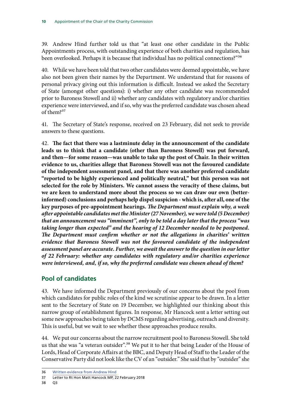<span id="page-11-0"></span>39. Andrew Hind further told us that "at least one other candidate in the Public Appointments process, with outstanding experience of both charities and regulation, has been overlooked. Perhaps it is because that individual has no political connections?"36

40. While we have been told that two other candidates were deemed appointable, we have also not been given their names by the Department. We understand that for reasons of personal privacy giving out this information is difficult. Instead we asked the Secretary of State (amongst other questions): i) whether any other candidate was recommended prior to Baroness Stowell and ii) whether any candidates with regulatory and/or charities experience were interviewed, and if so, why was the preferred candidate was chosen ahead of them?37

41. The Secretary of State's response, received on 23 February, did not seek to provide answers to these questions.

42. **The fact that there was a lastminute delay in the announcement of the candidate leads us to think that a candidate (other than Baroness Stowell) was put forward, and then—for some reason—was unable to take up the post of Chair. In their written evidence to us, charities allege that Baroness Stowell was not the favoured candidate of the independent assessment panel, and that there was another preferred candidate "reported to be highly experienced and politically neutral," but this person was not selected for the role by Ministers. We cannot assess the veracity of these claims, but we are keen to understand more about the process so we can draw our own (betterinformed) conclusions and perhaps help dispel suspicion - which is, after all, one of the key purposes of pre-appointment hearings.** *The Department must explain why, a week after appointable candidates met the Minister (27 November), we were told (5 December) that an announcement was "imminent", only to be told a day later that the process "was taking longer than expected" and the hearing of 12 December needed to be postponed. The Department must confirm whether or not the allegations in charities' written evidence that Baroness Stowell was not the favoured candidate of the independent assessment panel are accurate. Further, we await the answer to the question in our letter of 22 February: whether any candidates with regulatory and/or charities experience were interviewed, and, if so, why the preferred candidate was chosen ahead of them?*

### **Pool of candidates**

43. We have informed the Department previously of our concerns about the pool from which candidates for public roles of the kind we scrutinise appear to be drawn. In a letter sent to the Secretary of State on 19 December, we highlighted our thinking about this narrow group of establishment figures. In response, Mr Hancock sent a letter setting out some new approaches being taken by DCMS regarding advertising, outreach and diversity. This is useful, but we wait to see whether these approaches produce results.

44. We put our concerns about the narrow recruitment pool to Baroness Stowell. She told us that she was "a veteran outsider".<sup>38</sup> We put it to her that being Leader of the House of Lords, Head of Corporate Affairs at the BBC, and Deputy Head of Staff to the Leader of the Conservative Party did not look like the CV of an "outsider." She said that by "outsider" she

```
38 Q3
```
<sup>36</sup> [Written evidence from Andrew Hind](http://data.parliament.uk/writtenevidence/committeeevidence.svc/evidencedocument/digital-culture-media-and-sport-committee/preappointment-hearing-for-chair-of-charity-commission-for-england-and-wales/written/78504.html)

<sup>37</sup> Letter to Rt Hon Matt Hancock MP, 22 February 2018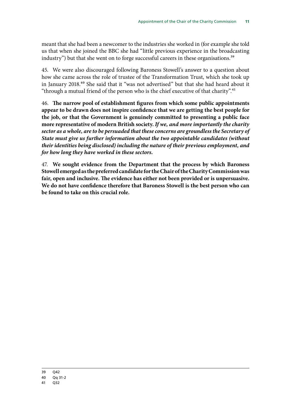meant that she had been a newcomer to the industries she worked in (for example she told us that when she joined the BBC she had "little previous experience in the broadcasting industry") but that she went on to forge successful careers in these organisations.<sup>39</sup>

45. We were also discouraged following Baroness Stowell's answer to a question about how she came across the role of trustee of the Transformation Trust, which she took up in January 2018.40 She said that it "was not advertised" but that she had heard about it "through a mutual friend of the person who is the chief executive of that charity".<sup>41</sup>

46. **The narrow pool of establishment figures from which some public appointments appear to be drawn does not inspire confidence that we are getting the best people for the job, or that the Government is genuinely committed to presenting a public face more representative of modern British society.** *If we, and more importantly the charity sector as a whole, are to be persuaded that these concerns are groundless the Secretary of State must give us further information about the two appointable candidates (without their identities being disclosed) including the nature of their previous employment, and for how long they have worked in these sectors.*

47. **We sought evidence from the Department that the process by which Baroness Stowell emerged as the preferred candidate for the Chair of the Charity Commission was fair, open and inclusive. The evidence has either not been provided or is unpersuasive. We do not have confidence therefore that Baroness Stowell is the best person who can be found to take on this crucial role.**

<sup>39</sup> Q42 40 Qq 31-2

<sup>41</sup> Q32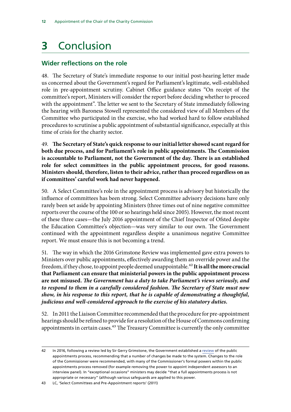## <span id="page-13-0"></span>**3** Conclusion

## **Wider reflections on the role**

48. The Secretary of State's immediate response to our initial post-hearing letter made us concerned about the Government's regard for Parliament's legitimate, well-established role in pre-appointment scrutiny. Cabinet Office guidance states "On receipt of the committee's report, Ministers will consider the report before deciding whether to proceed with the appointment". The letter we sent to the Secretary of State immediately following the hearing with Baroness Stowell represented the considered view of all Members of the Committee who participated in the exercise, who had worked hard to follow established procedures to scrutinise a public appointment of substantial significance, especially at this time of crisis for the charity sector.

49. **The Secretary of State's quick response to our initial letter showed scant regard for both due process, and for Parliament's role in public appointments. The Commission is accountable to Parliament, not the Government of the day. There is an established role for select committees in the public appointment process, for good reasons. Ministers should, therefore, listen to their advice, rather than proceed regardless on as if committees' careful work had never happened.**

50. A Select Committee's role in the appointment process is advisory but historically the influence of committees has been strong. Select Committee advisory decisions have only rarely been set aside by appointing Ministers (three times out of nine negative committee reports over the course of the 100 or so hearings held since 2005). However, the most recent of these three cases—the July 2016 appointment of the Chief Inspector of Ofsted despite the Education Committee's objection—was very similar to our own. The Government continued with the appointment regardless despite a unanimous negative Committee report. We must ensure this is not becoming a trend.

51. The way in which the 2016 Grimstone Review was implemented gave extra powers to Ministers over public appointments, effectively awarding them an override power and the freedom, if they chose, to appoint people deemed unappointable.<sup>42</sup> It is all the more crucial **that Parliament can ensure that ministerial powers in the public appointment process are not misused.** *The Government has a duty to take Parliament's views seriously, and to respond to them in a carefully considered fashion. The Secretary of State must now show, in his response to this report, that he is capable of demonstrating a thoughtful, judicious and well-considered approach to the exercise of his statutory duties.*

52. In 2011 the Liaison Committee recommended that the procedure for pre-appointment hearings should be refined to provide for a resolution of the House of Commons confirming appointments in certain cases. $43$  The Treasury Committee is currently the only committee

<sup>42</sup> In 2016, following a review led by Sir Gerry Grimstone, the Government established a [review](https://www.gov.uk/government/publications/better-public-appointments-review-of-the-public-appointments-process) of the public appointments process, recommending that a number of changes be made to the system. Changes to the role of the Commissioner were recommended, with many of the Commissioner's formal powers within the public appointments process removed (for example removing the power to appoint independent assessors to an interview panel). In "exceptional occasions" ministers may decide "that a full appointments process is not appropriate or necessary" (although various safeguards are applied to this power.

<sup>43</sup> LC, 'Select Committees and Pre-Appointment reports' (2011)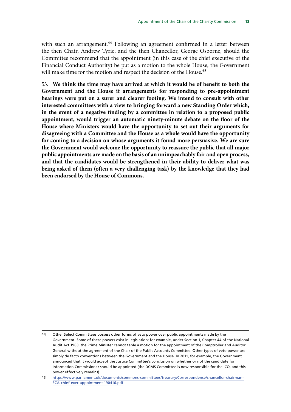with such an arrangement.<sup>44</sup> Following an agreement confirmed in a letter between the then Chair, Andrew Tyrie, and the then Chancellor, George Osborne, should the Committee recommend that the appointment (in this case of the chief executive of the Financial Conduct Authority) be put as a motion to the whole House, the Government will make time for the motion and respect the decision of the House.<sup>45</sup>

53. **We think the time may have arrived at which it would be of benefit to both the Government and the House if arrangements for responding to pre-appointment hearings were put on a surer and clearer footing. We intend to consult with other interested committees with a view to bringing forward a new Standing Order which, in the event of a negative finding by a committee in relation to a proposed public appointment, would trigger an automatic ninety-minute debate on the floor of the House where Ministers would have the opportunity to set out their arguments for disagreeing with a Committee and the House as a whole would have the opportunity for coming to a decision on whose arguments it found more persuasive. We are sure the Government would welcome the opportunity to reassure the public that all major public appointments are made on the basis of an unimpeachably fair and open process, and that the candidates would be strengthened in their ability to deliver what was being asked of them (often a very challenging task) by the knowledge that they had been endorsed by the House of Commons.**

<sup>44</sup> Other Select Committees possess other forms of veto power over public appointments made by the Government. Some of these powers exist in legislation; for example, under Section 1, Chapter 44 of the National Audit Act 1983, the Prime Minister cannot table a motion for the appointment of the Comptroller and Auditor General without the agreement of the Chair of the Public Accounts Committee. Other types of veto power are simply de facto conventions between the Government and the House. In 2011, for example, the Government announced that it would accept the Justice Committee's conclusion on whether or not the candidate for Information Commissioner should be appointed (the DCMS Committee is now responsible for the ICO, and this power effectively remains).

<sup>45</sup> [https://www.parliament.uk/documents/commons-committees/treasury/Correspondence/chancellor-chairman-](https://www.parliament.uk/documents/commons-committees/treasury/Correspondence/chancellor-chairman-FCA-chief-exec-appointment-190416.pdf)[FCA-chief-exec-appointment-190416.pdf](https://www.parliament.uk/documents/commons-committees/treasury/Correspondence/chancellor-chairman-FCA-chief-exec-appointment-190416.pdf)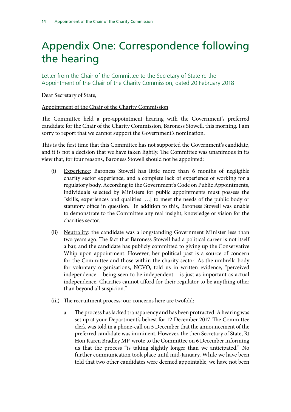## <span id="page-15-0"></span>Appendix One: Correspondence following the hearing

Letter from the Chair of the Committee to the Secretary of State re the Appointment of the Chair of the Charity Commission, dated 20 February 2018

Dear Secretary of State,

### Appointment of the Chair of the Charity Commission

The Committee held a pre-appointment hearing with the Government's preferred candidate for the Chair of the Charity Commission, Baroness Stowell, this morning. I am sorry to report that we cannot support the Government's nomination.

This is the first time that this Committee has not supported the Government's candidate, and it is not a decision that we have taken lightly. The Committee was unanimous in its view that, for four reasons, Baroness Stowell should not be appointed:

- (i) Experience: Baroness Stowell has little more than 6 months of negligible charity sector experience, and a complete lack of experience of working for a regulatory body. According to the Government's Code on Public Appointments, individuals selected by Ministers for public appointments must possess the "skills, experiences and qualities […] to meet the needs of the public body or statutory office in question." In addition to this, Baroness Stowell was unable to demonstrate to the Committee any real insight, knowledge or vision for the charities sector.
- (ii) Neutrality: the candidate was a longstanding Government Minister less than two years ago. The fact that Baroness Stowell had a political career is not itself a bar, and the candidate has publicly committed to giving up the Conservative Whip upon appointment. However, her political past is a source of concern for the Committee and those within the charity sector. As the umbrella body for voluntary organisations, NCVO, told us in written evidence, "perceived independence – being seen to be independent – is just as important as actual independence. Charities cannot afford for their regulator to be anything other than beyond all suspicion."
- (iii) The recruitment process: our concerns here are twofold:
	- a. The process has lacked transparency and has been protracted. A hearing was set up at your Department's behest for 12 December 2017. The Committee clerk was told in a phone-call on 5 December that the announcement of the preferred candidate was imminent. However, the then Secretary of State, Rt Hon Karen Bradley MP, wrote to the Committee on 6 December informing us that the process "is taking slightly longer than we anticipated." No further communication took place until mid-January. While we have been told that two other candidates were deemed appointable, we have not been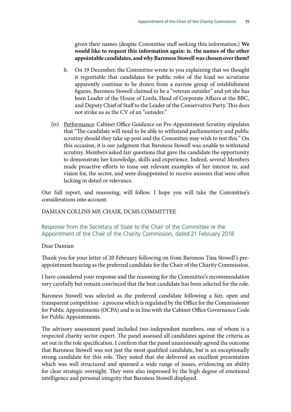given their names (despite Committee staff seeking this information.) **We would like to request this information again: ie. the names of the other appointable candidates, and why Baroness Stowell was chosen over them?**

- b. On 19 December, the Committee wrote to you explaining that we thought it regrettable that candidates for public roles of the kind we scrutinise apparently continue to be drawn from a narrow group of establishment figures. Baroness Stowell claimed to be a "veteran outsider" and yet she has been Leader of the House of Lords, Head of Corporate Affairs at the BBC, and Deputy Chief of Staff to the Leader of the Conservative Party. This does not strike us as the CV of an "outsider."
- (iv) Performance: Cabinet Office Guidance on Pre-Appointment Scrutiny stipulates that "The candidate will need to be able to withstand parliamentary and public scrutiny should they take up post and the Committee may wish to test this." On this occasion, it is our judgment that Baroness Stowell was unable to withstand scrutiny. Members asked fair questions that gave the candidate the opportunity to demonstrate her knowledge, skills and experience. Indeed, several Members made proactive efforts to tease out relevant examples of her interest in, and vision for, the sector, and were disappointed to receive answers that were often lacking in detail or relevance.

Our full report, and reasoning, will follow. I hope you will take the Committee's considerations into account.

#### DAMIAN COLLINS MP, CHAIR, DCMS COMMITTEE

Response from the Secretary of State to the Chair of the Committee re the Appointment of the Chair of the Charity Commission, dated 21 February 2018

#### Dear Damian

Thank you for your letter of 20 February following on from Baroness Tina Stowell's preappointment hearing as the preferred candidate for the Chair of the Charity Commission.

I have considered your response and the reasoning for the Committee's recommendation very carefully but remain convinced that the best candidate has been selected for the role.

Baroness Stowell was selected as the preferred candidate following a fair, open and transparent competition - a process which is regulated by the Office for the Commissioner for Public Appointments (OCPA) and is in line with the Cabinet Office Governance Code for Public Appointments.

The advisory assessment panel included two independent members, one of whom is a respected charity sector expert. The panel assessed all candidates against the criteria as set out in the role specification. I confirm that the panel unanimously agreed the outcome that Baroness Stowell was not just the most qualified candidate, but is an exceptionally strong candidate for this role. They noted that she delivered an excellent presentation which was well structured and spanned a wide range of issues, evidencing an ability for clear strategic oversight. They were also impressed by the high degree of emotional intelligence and personal integrity that Baroness Stowell displayed.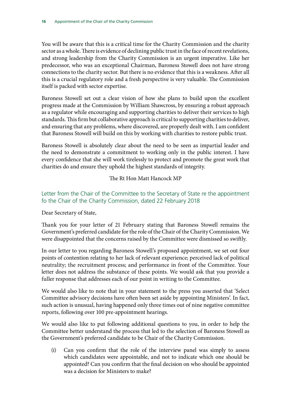You will be aware that this is a critical time for the Charity Commission and the charity sector as a whole. There is evidence of declining public trust in the face of recent revelations, and strong leadership from the Charity Commission is an urgent imperative. Like her predecessor, who was an exceptional Chairman, Baroness Stowell does not have strong connections to the charity sector. But there is no evidence that this is a weakness. After all this is a crucial regulatory role and a fresh perspective is very valuable. The Commission itself is packed with sector expertise.

Baroness Stowell set out a clear vision of how she plans to build upon the excellent progress made at the Commission by William Shawcross, by ensuring a robust approach as a regulator while encouraging and supporting charities to deliver their services to high standards. This firm but collaborative approach is critical to supporting charities to deliver, and ensuring that any problems, where discovered, are properly dealt with. I am confident that Baroness Stowell will build on this by working with charities to restore public trust.

Baroness Stowell is absolutely clear about the need to be seen as impartial leader and the need to demonstrate a commitment to working only in the public interest. I have every confidence that she will work tirelessly to protect and promote the great work that charities do and ensure they uphold the highest standards of integrity.

The Rt Hon Matt Hancock MP

### Letter from the Chair of the Committee to the Secretary of State re the appointment fo the Chair of the Charity Commission, dated 22 February 2018

#### Dear Secretary of State,

Thank you for your letter of 21 February stating that Baroness Stowell remains the Government's preferred candidate for the role of the Chair of the Charity Commission. We were disappointed that the concerns raised by the Committee were dismissed so swiftly.

In our letter to you regarding Baroness Stowell's proposed appointment, we set out four points of contention relating to her lack of relevant experience; perceived lack of political neutrality; the recruitment process; and performance in front of the Committee. Your letter does not address the substance of these points. We would ask that you provide a fuller response that addresses each of our point in writing to the Committee.

We would also like to note that in your statement to the press you asserted that 'Select Committee advisory decisions have often been set aside by appointing Ministers'. In fact, such action is unusual, having happened only three times out of nine negative committee reports, following over 100 pre-appointment hearings.

We would also like to put following additional questions to you, in order to help the Committee better understand the process that led to the selection of Baroness Stowell as the Government's preferred candidate to be Chair of the Charity Commission.

(i) Can you confirm that the role of the interview panel was simply to assess which candidates were appointable, and not to indicate which one should be appointed? Can you confirm that the final decision on who should be appointed was a decision for Ministers to make?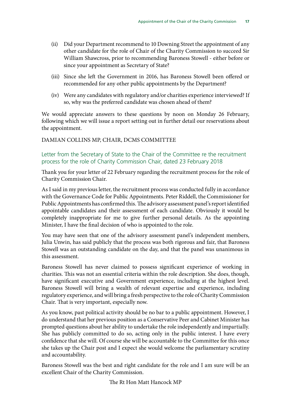- (ii) Did your Department recommend to 10 Downing Street the appointment of any other candidate for the role of Chair of the Charity Commission to succeed Sir William Shawcross, prior to recommending Baroness Stowell - either before or since your appointment as Secretary of State?
- (iii) Since she left the Government in 2016, has Baroness Stowell been offered or recommended for any other public appointments by the Department?
- (iv) Were any candidates with regulatory and/or charities experience interviewed? If so, why was the preferred candidate was chosen ahead of them?

We would appreciate answers to these questions by noon on Monday 26 February, following which we will issue a report setting out in further detail our reservations about the appointment.

#### DAMIAN COLLINS MP, CHAIR, DCMS COMMITTEE

#### Letter from the Secretary of State to the Chair of the Committee re the recruitment process for the role of Charity Commission Chair, dated 23 February 2018

Thank you for your letter of 22 February regarding the recruitment process for the role of Charity Commission Chair.

As I said in my previous letter, the recruitment process was conducted fully in accordance with the Governance Code for Public Appointments. Peter Riddell, the Commissioner for Public Appointments has confirmed this. The advisory assessment panel's report identified appointable candidates and their assessment of each candidate. Obviously it would be completely inappropriate for me to give further personal details. As the appointing Minister, I have the final decision of who is appointed to the role.

You may have seen that one of the advisory assessment panel's independent members, Julia Unwin, has said publicly that the process was both rigorous and fair, that Baroness Stowell was an outstanding candidate on the day, and that the panel was unanimous in this assessment.

Baroness Stowell has never claimed to possess significant experience of working in charities. This was not an essential criteria within the role description. She does, though, have significant executive and Government experience, including at the highest level. Baroness Stowell will bring a wealth of relevant expertise and experience, including regulatory experience, and will bring a fresh perspective to the role of Charity Commission Chair. That is very important, especially now.

As you know, past political activity should be no bar to a public appointment. However, I do understand that her previous position as a Conservative Peer and Cabinet Minister has prompted questions about her ability to undertake the role independently and impartially. She has publicly committed to do so, acting only in the public interest. I have every confidence that she will. Of course she will be accountable to the Committee for this once she takes up the Chair post and I expect she would welcome the parliamentary scrutiny and accountability.

Baroness Stowell was the best and right candidate for the role and I am sure will be an excellent Chair of the Charity Commission.

The Rt Hon Matt Hancock MP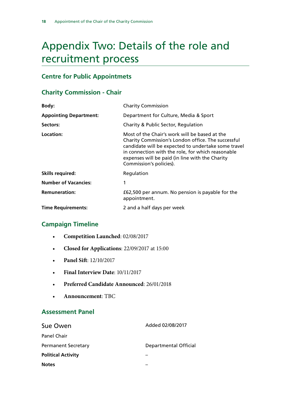## <span id="page-19-0"></span>Appendix Two: Details of the role and recruitment process

## **Centre for Public Appointmets**

## **Charity Commission - Chair**

| Body:                         | <b>Charity Commission</b>                                                                                                                                                                                                                                                                     |
|-------------------------------|-----------------------------------------------------------------------------------------------------------------------------------------------------------------------------------------------------------------------------------------------------------------------------------------------|
| <b>Appointing Department:</b> | Department for Culture, Media & Sport                                                                                                                                                                                                                                                         |
| Sectors:                      | Charity & Public Sector, Regulation                                                                                                                                                                                                                                                           |
| Location:                     | Most of the Chair's work will be based at the<br>Charity Commission's London office. The successful<br>candidate will be expected to undertake some travel<br>in connection with the role, for which reasonable<br>expenses will be paid (in line with the Charity<br>Commission's policies). |
| <b>Skills required:</b>       | Regulation                                                                                                                                                                                                                                                                                    |
| <b>Number of Vacancies:</b>   | 1                                                                                                                                                                                                                                                                                             |
| <b>Remuneration:</b>          | £62,500 per annum. No pension is payable for the<br>appointment.                                                                                                                                                                                                                              |
| <b>Time Requirements:</b>     | 2 and a half days per week                                                                                                                                                                                                                                                                    |

### **Campaign Timeline**

- **Competition Launched**: 02/08/2017
- **Closed for Applications**: 22/09/2017 at 15:00
- **Panel Sift**: 12/10/2017
- **Final Interview Date**: 10/11/2017
- **Preferred Candidate Announced**: 26/01/2018
- **Announcement**: TBC

### **Assessment Panel**

| Sue Owen                   | Added 02/08/2017      |
|----------------------------|-----------------------|
| <b>Panel Chair</b>         |                       |
| <b>Permanent Secretary</b> | Departmental Official |
| <b>Political Activity</b>  |                       |
| <b>Notes</b>               |                       |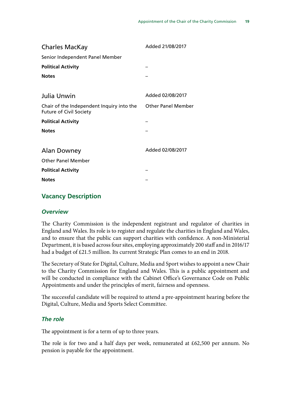| <b>Charles MacKay</b>                                                       | Added 21/08/2017          |
|-----------------------------------------------------------------------------|---------------------------|
| Senior Independent Panel Member                                             |                           |
| <b>Political Activity</b>                                                   |                           |
| <b>Notes</b>                                                                |                           |
|                                                                             |                           |
| Julia Unwin                                                                 | Added 02/08/2017          |
| Chair of the Independent Inquiry into the<br><b>Future of Civil Society</b> | <b>Other Panel Member</b> |
| <b>Political Activity</b>                                                   |                           |
| <b>Notes</b>                                                                |                           |
|                                                                             |                           |
| Alan Downey                                                                 | Added 02/08/2017          |
| <b>Other Panel Member</b>                                                   |                           |
| <b>Political Activity</b>                                                   |                           |
| <b>Notes</b>                                                                |                           |

### **Vacancy Description**

#### *Overview*

The Charity Commission is the independent registrant and regulator of charities in England and Wales. Its role is to register and regulate the charities in England and Wales, and to ensure that the public can support charities with confidence. A non-Ministerial Department, it is based across four sites, employing approximately 200 staff and in 2016/17 had a budget of £21.5 million. Its current Strategic Plan comes to an end in 2018.

The Secretary of State for Digital, Culture, Media and Sport wishes to appoint a new Chair to the Charity Commission for England and Wales. This is a public appointment and will be conducted in compliance with the Cabinet Office's Governance Code on Public Appointments and under the principles of merit, fairness and openness.

The successful candidate will be required to attend a pre-appointment hearing before the Digital, Culture, Media and Sports Select Committee.

#### *The role*

The appointment is for a term of up to three years.

The role is for two and a half days per week, remunerated at £62,500 per annum. No pension is payable for the appointment.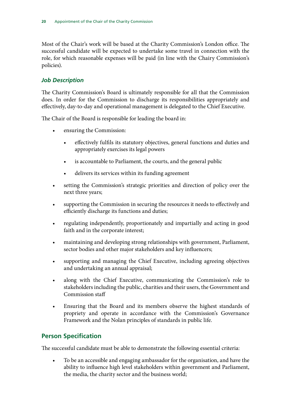Most of the Chair's work will be based at the Charity Commission's London office. The successful candidate will be expected to undertake some travel in connection with the role, for which reasonable expenses will be paid (in line with the Chairy Commission's policies).

### *Job Description*

The Charity Commission's Board is ultimately responsible for all that the Commission does. In order for the Commission to discharge its responsibilities appropriately and effectively, day-to-day and operational management is delegated to the Chief Executive.

The Chair of the Board is responsible for leading the board in:

- ensuring the Commission:
	- effectively fulfils its statutory objectives, general functions and duties and appropriately exercises its legal powers
	- is accountable to Parliament, the courts, and the general public
	- delivers its services within its funding agreement
- setting the Commission's strategic priorities and direction of policy over the next three years;
- supporting the Commission in securing the resources it needs to effectively and efficiently discharge its functions and duties;
- regulating independently, proportionately and impartially and acting in good faith and in the corporate interest;
- maintaining and developing strong relationships with government, Parliament, sector bodies and other major stakeholders and key influencers;
- supporting and managing the Chief Executive, including agreeing objectives and undertaking an annual appraisal;
- along with the Chief Executive, communicating the Commission's role to stakeholders including the public, charities and their users, the Government and Commission staff
- Ensuring that the Board and its members observe the highest standards of propriety and operate in accordance with the Commission's Governance Framework and the Nolan principles of standards in public life.

## **Person Specification**

The successful candidate must be able to demonstrate the following essential criteria:

• To be an accessible and engaging ambassador for the organisation, and have the ability to influence high level stakeholders within government and Parliament, the media, the charity sector and the business world;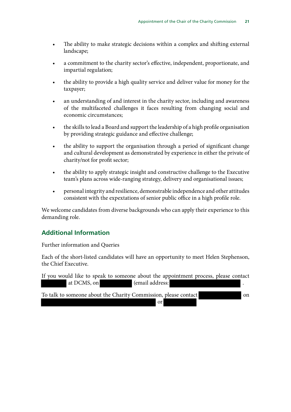- The ability to make strategic decisions within a complex and shifting external landscape;
- a commitment to the charity sector's effective, independent, proportionate, and impartial regulation;
- the ability to provide a high quality service and deliver value for money for the taxpayer;
- an understanding of and interest in the charity sector, including and awareness of the multifaceted challenges it faces resulting from changing social and economic circumstances;
- the skills to lead a Board and support the leadership of a high profile organisation by providing strategic guidance and effective challenge;
- the ability to support the organisation through a period of significant change and cultural development as demonstrated by experience in either the private of charity/not for profit sector;
- the ability to apply strategic insight and constructive challenge to the Executive team's plans across wide-ranging strategy, delivery and organisational issues;
- personal integrity and resilience, demonstrable independence and other attitudes consistent with the expextations of senior public office in a high profile role.

We welcome candidates from diverse backgrounds who can apply their experience to this demanding role.

### **Additional Information**

Further information and Queries

Each of the short-listed candidates will have an opportunity to meet Helen Stephenson, the Chief Executive.

If you would like to speak to someone about the appointment process, please contact at DCMS, on (email address: To talk to someone about the Charity Commission, please contact on

or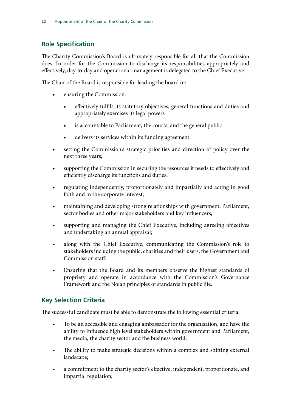## **Role Specification**

The Charity Commission's Board is ultimately responsible for all that the Commission does. In order for the Commission to discharge its responsibilities appropriately and effectively, day-to-day and operational management is delegated to the Chief Executive.

The Chair of the Board is responsible for leading the board in:

- ensuring the Commission:
	- effectively fulfils its statutory objectives, general functions and duties and appropriately exercises its legal powers
	- is accountable to Parliament, the courts, and the general public
	- delivers its services within its funding agreement
- setting the Commission's strategic priorities and direction of policy over the next three years;
- supporting the Commission in securing the resources it needs to effectively and efficiently discharge its functions and duties;
- regulating independently, proportionately and impartially and acting in good faith and in the corporate interest;
- maintaining and developing strong relationships with government, Parliament, sector bodies and other major stakeholders and key influencers;
- supporting and managing the Chief Executive, including agreeing objectives and undertaking an annual appraisal;
- along with the Chief Executive, communicating the Commission's role to stakeholders including the public, charities and their users, the Government and Commission staff.
- Ensuring that the Board and its members observe the highest standards of propriety and operate in accordance with the Commission's Governance Framework and the Nolan principles of standards in public life.

### **Key Selection Criteria**

The successful candidate must be able to demonstrate the following essential criteria:

- To be an accessible and engaging ambassador for the organisation, and have the ability to influence high level stakeholders within government and Parliament, the media, the charity sector and the business world;
- The ability to make strategic decisions within a complex and shifting external landscape;
- a commitment to the charity sector's effective, independent, proportionate, and impartial regulation;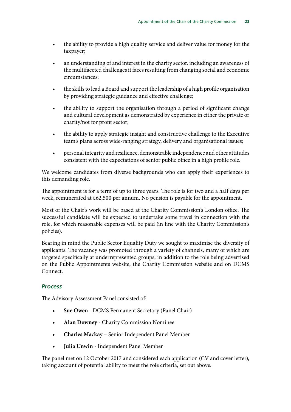- the ability to provide a high quality service and deliver value for money for the taxpayer;
- an understanding of and interest in the charity sector, including an awareness of the multifaceted challenges it faces resulting from changing social and economic circumstances;
- the skills to lead a Board and support the leadership of a high profile organisation by providing strategic guidance and effective challenge;
- the ability to support the organisation through a period of significant change and cultural development as demonstrated by experience in either the private or charity/not for profit sector;
- the ability to apply strategic insight and constructive challenge to the Executive team's plans across wide-ranging strategy, delivery and organisational issues;
- personal integrity and resilience, demonstrable independence and other attitudes consistent with the expectations of senior public office in a high profile role.

We welcome candidates from diverse backgrounds who can apply their experiences to this demanding role.

The appointment is for a term of up to three years. The role is for two and a half days per week, remunerated at £62,500 per annum. No pension is payable for the appointment.

Most of the Chair's work will be based at the Charity Commission's London office. The successful candidate will be expected to undertake some travel in connection with the role, for which reasonable expenses will be paid (in line with the Charity Commission's policies).

Bearing in mind the Public Sector Equality Duty we sought to maximise the diversity of applicants. The vacancy was promoted through a variety of channels, many of which are targeted specifically at underrepresented groups, in addition to the role being advertised on the Public Appointments website, the Charity Commission website and on DCMS Connect.

### *Process*

The Advisory Assessment Panel consisted of:

- **Sue Owen** DCMS Permanent Secretary (Panel Chair)
- **Alan Downey** Charity Commission Nominee
- **Charles Mackay** Senior Independent Panel Member
- **Julia Unwin**  Independent Panel Member

The panel met on 12 October 2017 and considered each application (CV and cover letter), taking account of potential ability to meet the role criteria, set out above.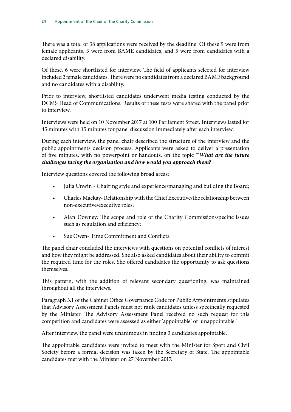There was a total of 38 applications were received by the deadline. Of these 9 were from female applicants, 3 were from BAME candidates, and 5 were from candidates with a declared disability.

Of these, 6 were shortlisted for interview. The field of applicants selected for interview included 2 female candidates. There were no candidates from a declared BAME background and no candidates with a disability.

Prior to interview, shortlisted candidates underwent media testing conducted by the DCMS Head of Communications. Results of these tests were shared with the panel prior to interview.

Interviews were held on 10 November 2017 at 100 Parliament Street. Interviews lasted for 45 minutes with 15 minutes for panel discussion immediately after each interview.

During each interview, the panel chair described the structure of the interview and the public appointments decision process. Applicants were asked to deliver a presentation of five minutes, with no powerpoint or handouts, on the topic "'*What are the future challenges facing the organisation and how would you approach them?*'

Interview questions covered the following broad areas:

- Julia Unwin Chairing style and experience/managing and building the Board;
- Charles Mackay- Relationship with the Chief Executive/the relationship between non-executive/executive roles;
- Alan Downey: The scope and role of the Charity Commission/specific issues such as regulation and efficiency;
- Sue Owen-Time Commitment and Conflicts.

The panel chair concluded the interviews with questions on potential conflicts of interest and how they might be addressed. She also asked candidates about their ability to commit the required time for the roles. She offered candidates the opportunity to ask questions themselves.

This pattern, with the addition of relevant secondary questioning, was maintained throughout all the interviews.

Paragraph 3.1 of the Cabinet Office Governance Code for Public Appointments stipulates that Advisory Assessment Panels must not rank candidates unless specifically requested by the Minister. The Advisory Assessment Panel received no such request for this competition and candidates were assessed as either 'appointable' or 'unappointable.'

After interview, the panel were unanimous in finding 3 candidates appointable.

The appointable candidates were invited to meet with the Minister for Sport and Civil Society before a formal decision was taken by the Secretary of State. The appointable candidates met with the Minister on 27 November 2017.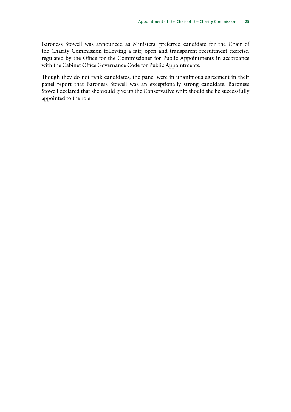Baroness Stowell was announced as Ministers' preferred candidate for the Chair of the Charity Commission following a fair, open and transparent recruitment exercise, regulated by the Office for the Commissioner for Public Appointments in accordance with the Cabinet Office Governance Code for Public Appointments.

Though they do not rank candidates, the panel were in unanimous agreement in their panel report that Baroness Stowell was an exceptionally strong candidate. Baroness Stowell declared that she would give up the Conservative whip should she be successfully appointed to the role.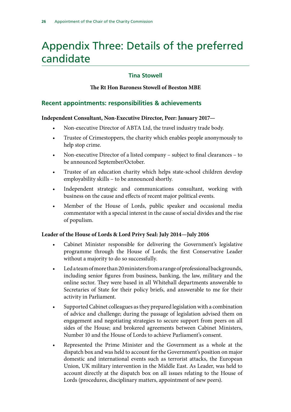## <span id="page-27-0"></span>Appendix Three: Details of the preferred candidate

#### **Tina Stowell**

#### **The Rt Hon Baroness Stowell of Beeston MBE**

### **Recent appointments: responsibilities & achievements**

#### **Independent Consultant, Non-Executive Director, Peer: January 2017—**

- Non-executive Director of ABTA Ltd, the travel industry trade body.
- Trustee of Crimestoppers, the charity which enables people anonymously to help stop crime.
- Non-executive Director of a listed company subject to final clearances to be announced September/October.
- Trustee of an education charity which helps state-school children develop employability skills – to be announced shortly.
- Independent strategic and communications consultant, working with business on the cause and effects of recent major political events.
- Member of the House of Lords, public speaker and occasional media commentator with a special interest in the cause of social divides and the rise of populism.

#### **Leader of the House of Lords & Lord Privy Seal: July 2014—July 2016**

- Cabinet Minister responsible for delivering the Government's legislative programme through the House of Lords; the first Conservative Leader without a majority to do so successfully.
- Led a team of more than 20 ministers from a range of professional backgrounds, including senior figures from business, banking, the law, military and the online sector. They were based in all Whitehall departments answerable to Secretaries of State for their policy briefs, and answerable to me for their activity in Parliament.
- Supported Cabinet colleagues as they prepared legislation with a combination of advice and challenge; during the passage of legislation advised them on engagement and negotiating strategies to secure support from peers on all sides of the House; and brokered agreements between Cabinet Ministers, Number 10 and the House of Lords to achieve Parliament's consent.
- Represented the Prime Minister and the Government as a whole at the dispatch box and was held to account for the Government's position on major domestic and international events such as terrorist attacks, the European Union, UK military intervention in the Middle East. As Leader, was held to account directly at the dispatch box on all issues relating to the House of Lords (procedures, disciplinary matters, appointment of new peers).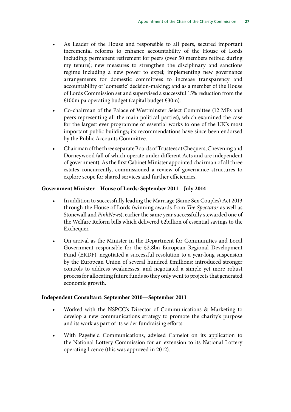- As Leader of the House and responsible to all peers, secured important incremental reforms to enhance accountability of the House of Lords including: permanent retirement for peers (over 50 members retired during my tenure); new measures to strengthen the disciplinary and sanctions regime including a new power to expel; implementing new governance arrangements for domestic committees to increase transparency and accountability of 'domestic' decision-making; and as a member of the House of Lords Commission set and supervised a successful 15% reduction from the £100m pa operating budget (capital budget £30m).
- Co-chairman of the Palace of Westminster Select Committee (12 MPs and peers representing all the main political parties), which examined the case for the largest ever programme of essential works to one of the UK's most important public buildings; its recommendations have since been endorsed by the Public Accounts Committee.
- Chairman of the three separate Boards of Trustees at Chequers, Chevening and Dorneywood (all of which operate under different Acts and are independent of government). As the first Cabinet Minister appointed chairman of all three estates concurrently, commissioned a review of governance structures to explore scope for shared services and further efficiencies.

#### **Government Minister – House of Lords: September 2011—July 2014**

- In addition to successfully leading the Marriage (Same Sex Couples) Act 2013 through the House of Lords (winning awards from *The Spectator* as well as Stonewall and *PinkNews*), earlier the same year successfully stewarded one of the Welfare Reform bills which delivered £2billion of essential savings to the Exchequer.
- On arrival as the Minister in the Department for Communities and Local Government responsible for the £2.8bn European Regional Development Fund (ERDF), negotiated a successful resolution to a year-long suspension by the European Union of several hundred £millions; introduced stronger controls to address weaknesses, and negotiated a simple yet more robust process for allocating future funds so they only went to projects that generated economic growth.

#### **Independent Consultant: September 2010—September 2011**

- Worked with the NSPCC's Director of Communications & Marketing to develop a new communications strategy to promote the charity's purpose and its work as part of its wider fundraising efforts.
- With Pagefield Communications, advised Camelot on its application to the National Lottery Commission for an extension to its National Lottery operating licence (this was approved in 2012).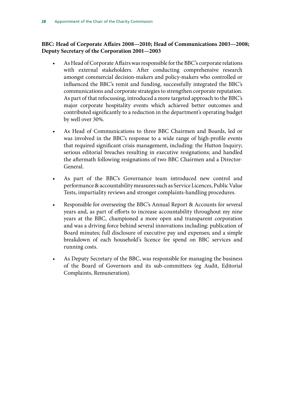#### **BBC: Head of Corporate Affairs 2008—2010; Head of Communications 2003—2008; Deputy Secretary of the Corporation 2001—2003**

- As Head of Corporate Affairs was responsible for the BBC's corporate relations with external stakeholders. After conducting comprehensive research amongst commercial decision-makers and policy-makers who controlled or influenced the BBC's remit and funding, successfully integrated the BBC's communications and corporate strategies to strengthen corporate reputation. As part of that refocussing, introduced a more targeted approach to the BBC's major corporate hospitality events which achieved better outcomes and contributed significantly to a reduction in the department's operating budget by well over 30%.
- As Head of Communications to three BBC Chairmen and Boards, led or was involved in the BBC's response to a wide range of high-profile events that required significant crisis management, including: the Hutton Inquiry; serious editorial breaches resulting in executive resignations; and handled the aftermath following resignations of two BBC Chairmen and a Director-General.
- As part of the BBC's Governance team introduced new control and performance & accountability measures such as Service Licences, Public Value Tests, impartiality reviews and stronger complaints-handling procedures.
- Responsible for overseeing the BBC's Annual Report & Accounts for several years and, as part of efforts to increase accountability throughout my nine years at the BBC, championed a more open and transparent corporation and was a driving force behind several innovations including: publication of Board minutes; full disclosure of executive pay and expenses; and a simple breakdown of each household's licence fee spend on BBC services and running costs.
- As Deputy Secretary of the BBC, was responsible for managing the business of the Board of Governors and its sub-committees (eg Audit, Editorial Complaints, Remuneration).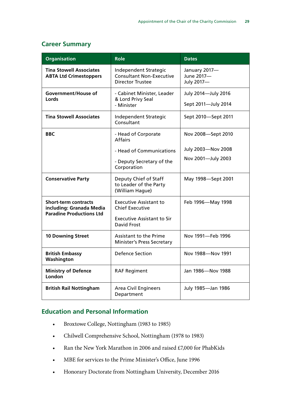## **Career Summary**

| <b>Organisation</b>                                                                        | <b>Role</b>                                                                                                        | <b>Dates</b>                               |
|--------------------------------------------------------------------------------------------|--------------------------------------------------------------------------------------------------------------------|--------------------------------------------|
| <b>Tina Stowell Associates</b><br><b>ABTA Ltd Crimestoppers</b>                            | Independent Strategic<br><b>Consultant Non-Executive</b><br><b>Director Trustee</b>                                | January 2017-<br>June 2017-<br>July 2017-  |
| <b>Government/House of</b><br>Lords                                                        | - Cabinet Minister, Leader<br>& Lord Privy Seal<br>- Minister                                                      | July 2014-July 2016<br>Sept 2011-July 2014 |
| <b>Tina Stowell Associates</b>                                                             | Independent Strategic<br>Consultant                                                                                | Sept 2010-Sept 2011                        |
| <b>BBC</b>                                                                                 | - Head of Corporate<br><b>Affairs</b>                                                                              | Nov 2008-Sept 2010                         |
|                                                                                            | - Head of Communications                                                                                           | July 2003-Nov 2008                         |
|                                                                                            | - Deputy Secretary of the<br>Corporation                                                                           | Nov 2001-July 2003                         |
| <b>Conservative Party</b>                                                                  | Deputy Chief of Staff<br>to Leader of the Party<br>(William Hague)                                                 | May 1998-Sept 2001                         |
| <b>Short-term contracts</b><br>including: Granada Media<br><b>Paradine Productions Ltd</b> | <b>Executive Assistant to</b><br><b>Chief Executive</b><br><b>Executive Assistant to Sir</b><br><b>David Frost</b> | Feb 1996-May 1998                          |
| <b>10 Downing Street</b>                                                                   | <b>Assistant to the Prime</b><br><b>Minister's Press Secretary</b>                                                 | Nov 1991-Feb 1996                          |
| <b>British Embassy</b><br>Washington                                                       | <b>Defence Section</b>                                                                                             | Nov 1988-Nov 1991                          |
| <b>Ministry of Defence</b><br>London                                                       | <b>RAF Regiment</b>                                                                                                | Jan 1986-Nov 1988                          |
| <b>British Rail Nottingham</b>                                                             | <b>Area Civil Engineers</b><br>Department                                                                          | July 1985-Jan 1986                         |

### **Education and Personal Information**

- Broxtowe College, Nottingham (1983 to 1985)
- Chilwell Comprehensive School, Nottingham (1978 to 1983)
- Ran the New York Marathon in 2006 and raised £7,000 for PhabKids
- MBE for services to the Prime Minister's Office, June 1996
- Honorary Doctorate from Nottingham University, December 2016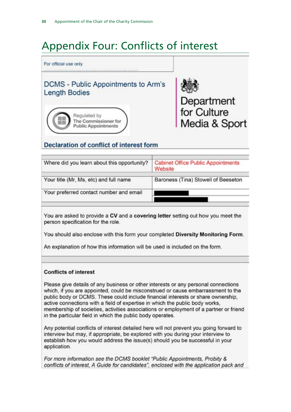## <span id="page-31-0"></span>Appendix Four: Conflicts of interest



## **Declaration of conflict of interest form**

| <b>Cabinet Office Public Appointments</b><br>Website |
|------------------------------------------------------|
| Baroness (Tina) Stowell of Beeseton                  |
|                                                      |
|                                                      |

You are asked to provide a CV and a covering letter setting out how you meet the person specification for the role.

You should also enclose with this form your completed Diversity Monitoring Form.

An explanation of how this information will be used is included on the form.

#### **Conflicts of interest**

Please give details of any business or other interests or any personal connections which, if you are appointed, could be misconstrued or cause embarrassment to the public body or DCMS. These could include financial interests or share ownership, active connections with a field of expertise in which the public body works. membership of societies, activities associations or employment of a partner or friend in the particular field in which the public body operates.

Any potential conflicts of interest detailed here will not prevent you going forward to interview but may, if appropriate, be explored with you during your interview to establish how you would address the issue(s) should you be successful in your application.

For more information see the DCMS booklet "Public Appointments, Probity & conflicts of interest, A Guide for candidates", enclosed with the application pack and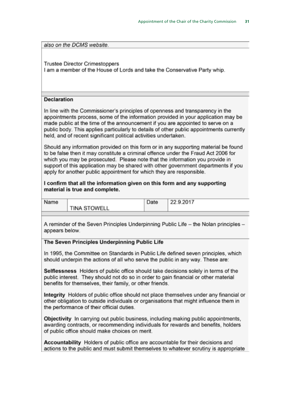also on the DCMS website.

**Trustee Director Crimestoppers** I am a member of the House of Lords and take the Conservative Party whip.

#### **Declaration**

In line with the Commissioner's principles of openness and transparency in the appointments process, some of the information provided in your application may be made public at the time of the announcement if you are appointed to serve on a public body. This applies particularly to details of other public appointments currently held, and of recent significant political activities undertaken.

Should any information provided on this form or in any supporting material be found to be false then it may constitute a criminal offence under the Fraud Act 2006 for which you may be prosecuted. Please note that the information you provide in support of this application may be shared with other government departments if you apply for another public appointment for which they are responsible.

I confirm that all the information given on this form and any supporting material is true and complete.

Name

**TINA STOWELL** 

| Date | 22.9.2017 |
|------|-----------|
|      |           |

A reminder of the Seven Principles Underpinning Public Life - the Nolan principles appears below.

#### The Seven Principles Underpinning Public Life

In 1995, the Committee on Standards in Public Life defined seven principles, which should underpin the actions of all who serve the public in any way. These are:

Selflessness Holders of public office should take decisions solely in terms of the public interest. They should not do so in order to gain financial or other material benefits for themselves, their family, or other friends.

Integrity Holders of public office should not place themselves under any financial or other obligation to outside individuals or organisations that might influence them in the performance of their official duties.

Objectivity In carrying out public business, including making public appointments, awarding contracts, or recommending individuals for rewards and benefits, holders of public office should make choices on merit.

Accountability Holders of public office are accountable for their decisions and actions to the public and must submit themselves to whatever scrutiny is appropriate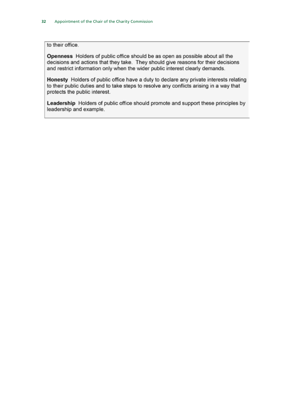to their office.

Openness Holders of public office should be as open as possible about all the decisions and actions that they take. They should give reasons for their decisions and restrict information only when the wider public interest clearly demands.

Honesty Holders of public office have a duty to declare any private interests relating to their public duties and to take steps to resolve any conflicts arising in a way that protects the public interest.

Leadership Holders of public office should promote and support these principles by leadership and example.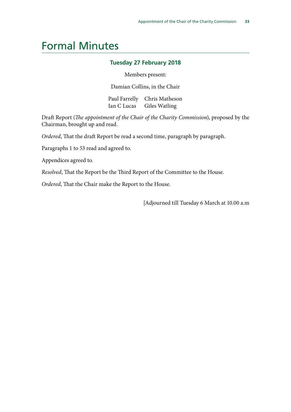## <span id="page-34-0"></span>Formal Minutes

#### **Tuesday 27 February 2018**

Members present:

Damian Collins, in the Chair

Paul Farrelly Chris Matheson Ian C Lucas Giles Watling

Draft Report (*The appointment of the Chair of the Charity Commission*), proposed by the Chairman, brought up and read.

*Ordered*, That the draft Report be read a second time, paragraph by paragraph.

Paragraphs 1 to 53 read and agreed to.

Appendices agreed to.

*Resolved*, That the Report be the Third Report of the Committee to the House.

*Ordered*, That the Chair make the Report to the House.

[Adjourned till Tuesday 6 March at 10.00 a.m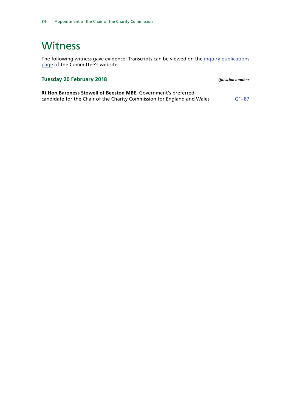## <span id="page-35-0"></span>Witness

The following witness gave evidence. Transcripts can be viewed on the [inquiry publications](https://www.parliament.uk/business/committees/committees-a-z/commons-select/digital-culture-media-and-sport-committee/inquiries/parliament-2017/inquiry1/publications/) [page](https://www.parliament.uk/business/committees/committees-a-z/commons-select/digital-culture-media-and-sport-committee/inquiries/parliament-2017/inquiry1/publications/) of the Committee's website.

#### **Tuesday 20 February 2018** *Question number*

**Rt Hon Baroness Stowell of Beeston MBE**, Government's preferred candidate for the Chair of the Charity Commission for England and Wales  $Q1-87$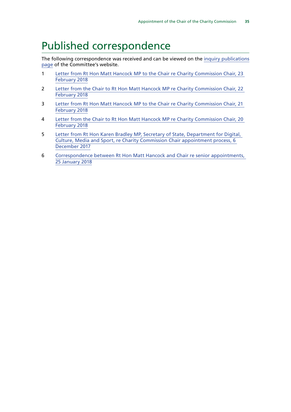## <span id="page-36-0"></span>Published correspondence

The following correspondence was received and can be viewed on the [inquiry publications](https://www.parliament.uk/business/committees/committees-a-z/commons-select/digital-culture-media-and-sport-committee/inquiries/parliament-2017/inquiry1/publications/) [page](https://www.parliament.uk/business/committees/committees-a-z/commons-select/digital-culture-media-and-sport-committee/inquiries/parliament-2017/inquiry1/publications/) of the Committee's website.

- 1 [Letter from Rt Hon Matt Hancock MP to the Chair re Charity Commission Chair, 23](https://www.parliament.uk/documents/commons-committees/culture-media-and-sport/180223%20Matt%20Hancock%20to%20Chair%20re%20appointment%20of%20Chairy%20Commission%20Chair.pdf)  [February 2018](https://www.parliament.uk/documents/commons-committees/culture-media-and-sport/180223%20Matt%20Hancock%20to%20Chair%20re%20appointment%20of%20Chairy%20Commission%20Chair.pdf)
- 2 [Letter from the Chair to Rt Hon Matt Hancock MP re Charity Commission Chair, 22](https://www.parliament.uk/documents/commons-committees/culture-media-and-sport/180222%20Chair%20to%20Matt%20Hancock%20re%20appointment%20of%20Chair%20of%20Charity%20Commission.pdf)  [February 2018](https://www.parliament.uk/documents/commons-committees/culture-media-and-sport/180222%20Chair%20to%20Matt%20Hancock%20re%20appointment%20of%20Chair%20of%20Charity%20Commission.pdf)
- 3 [Letter from Rt Hon Matt Hancock MP to the Chair re Charity Commission Chair, 21](https://www.parliament.uk/documents/commons-committees/culture-media-and-sport/180221%20Matt%20Hancock%20to%20Chair%20re%20appointment%20of%20Chair%20of%20Charity%20Commission.pdf)  [February 2018](https://www.parliament.uk/documents/commons-committees/culture-media-and-sport/180221%20Matt%20Hancock%20to%20Chair%20re%20appointment%20of%20Chair%20of%20Charity%20Commission.pdf)
- 4 [Letter from the Chair to Rt Hon Matt Hancock MP re Charity Commission Chair, 20](https://www.parliament.uk/documents/commons-committees/culture-media-and-sport/180220%20Letter%20from%20Chair%20to%20Matt%20Hancock%20MP%20re%20Charity%20Commission%20Chair%20appointment.pdf)  [February 2018](https://www.parliament.uk/documents/commons-committees/culture-media-and-sport/180220%20Letter%20from%20Chair%20to%20Matt%20Hancock%20MP%20re%20Charity%20Commission%20Chair%20appointment.pdf)
- 5 [Letter from Rt Hon Karen Bradley MP, Secretary of State, Department for Digital,](https://www.parliament.uk/documents/commons-committees/culture-media-and-sport/171206-Karen%20Bradley-to-Chair-re-Charity-Commission-Chair.pdf)  [Culture, Media and Sport, re Charity Commission Chair appointment process, 6](https://www.parliament.uk/documents/commons-committees/culture-media-and-sport/171206-Karen%20Bradley-to-Chair-re-Charity-Commission-Chair.pdf)  [December 2017](https://www.parliament.uk/documents/commons-committees/culture-media-and-sport/171206-Karen%20Bradley-to-Chair-re-Charity-Commission-Chair.pdf)
- 6 [Correspondence between Rt Hon Matt Hancock and Chair re senior appointments,](https://www.parliament.uk/documents/commons-committees/culture-media-and-sport/180125%20Correspondence%20between%20Matt%20Hancock%20and%20Chair%20re%20senoir%20appointments.pdf)  [25 January 2018](https://www.parliament.uk/documents/commons-committees/culture-media-and-sport/180125%20Correspondence%20between%20Matt%20Hancock%20and%20Chair%20re%20senoir%20appointments.pdf)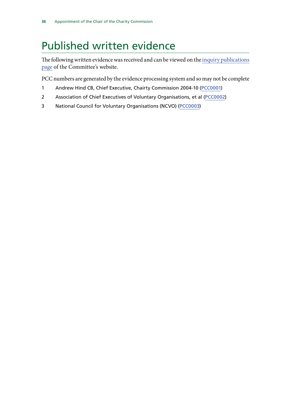## <span id="page-37-0"></span>Published written evidence

The following written evidence was received and can be viewed on the [inquiry publications](http://www.parliament.uk/business/committees/committees-a-z/commons-select/digital-culture-media-and-sport-committee/inquiries/parliament-2017/inquiry1/publications/) [page](http://www.parliament.uk/business/committees/committees-a-z/commons-select/digital-culture-media-and-sport-committee/inquiries/parliament-2017/inquiry1/publications/) of the Committee's website.

PCC numbers are generated by the evidence processing system and so may not be complete

- 1 Andrew Hind CB, Chief Executive, Chairty Commission 2004-10 ([PCC0001\)](http://data.parliament.uk/WrittenEvidence/CommitteeEvidence.svc/EvidenceDocument/Digital,%20Culture,%20Media%20and%20Sport/PreAppointment%20hearing%20for%20Chair%20of%20Charity%20Commission%20for%20England%20and%20Wales/written/78504.html)
- 2 Association of Chief Executives of Voluntary Organisations, et al ([PCC0002](http://data.parliament.uk/WrittenEvidence/CommitteeEvidence.svc/EvidenceDocument/Digital,%20Culture,%20Media%20and%20Sport/PreAppointment%20hearing%20for%20Chair%20of%20Charity%20Commission%20for%20England%20and%20Wales/written/78505.html))
- 3 National Council for Voluntary Organisations (NCVO) ([PCC0003](http://data.parliament.uk/WrittenEvidence/CommitteeEvidence.svc/EvidenceDocument/Digital,%20Culture,%20Media%20and%20Sport/PreAppointment%20hearing%20for%20Chair%20of%20Charity%20Commission%20for%20England%20and%20Wales/written/78507.html))